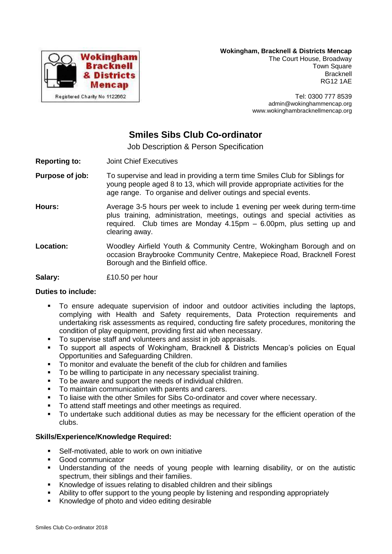

#### **Wokingham, Bracknell & Districts Mencap**

The Court House, Broadway Town Square Bracknell RG12 1AE

Tel: 0300 777 8539 admin@wokinghammencap.org www.wokinghambracknellmencap.org

# **Smiles Sibs Club Co-ordinator**

Job Description & Person Specification

- **Reporting to:** Joint Chief Executives
- **Purpose of job:** To supervise and lead in providing a term time Smiles Club for Siblings for young people aged 8 to 13, which will provide appropriate activities for the age range. To organise and deliver outings and special events.
- **Hours:** Average 3-5 hours per week to include 1 evening per week during term-time plus training, administration, meetings, outings and special activities as required. Club times are Monday  $4.15$ pm  $-6.00$ pm, plus setting up and clearing away.
- **Location:** Woodley Airfield Youth & Community Centre, Wokingham Borough and on occasion Braybrooke Community Centre, Makepiece Road, Bracknell Forest Borough and the Binfield office.
- **Salary:** £10.50 per hour

## **Duties to include:**

- To ensure adequate supervision of indoor and outdoor activities including the laptops, complying with Health and Safety requirements, Data Protection requirements and undertaking risk assessments as required, conducting fire safety procedures, monitoring the condition of play equipment, providing first aid when necessary.
- To supervise staff and volunteers and assist in job appraisals.
- To support all aspects of Wokingham, Bracknell & Districts Mencap's policies on Equal Opportunities and Safeguarding Children.
- To monitor and evaluate the benefit of the club for children and families
- To be willing to participate in any necessary specialist training.
- To be aware and support the needs of individual children.
- **To maintain communication with parents and carers.**
- To liaise with the other Smiles for Sibs Co-ordinator and cover where necessary.
- To attend staff meetings and other meetings as required.
- To undertake such additional duties as may be necessary for the efficient operation of the clubs.

#### **Skills/Experience/Knowledge Required:**

- **Self-motivated, able to work on own initiative**
- Good communicator
- Understanding of the needs of young people with learning disability, or on the autistic spectrum, their siblings and their families.
- Knowledge of issues relating to disabled children and their siblings
- Ability to offer support to the young people by listening and responding appropriately
- Knowledge of photo and video editing desirable